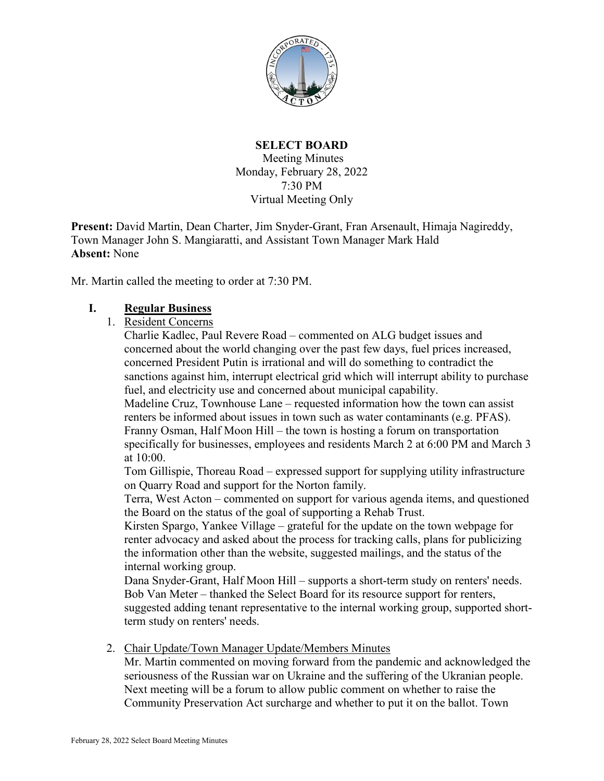

#### **SELECT BOARD**  Meeting Minutes Monday, February 28, 2022 7:30 PM Virtual Meeting Only

**Present:** David Martin, Dean Charter, Jim Snyder-Grant, Fran Arsenault, Himaja Nagireddy, Town Manager John S. Mangiaratti, and Assistant Town Manager Mark Hald **Absent:** None

Mr. Martin called the meeting to order at 7:30 PM.

#### **I. Regular Business**

1. Resident Concerns

Charlie Kadlec, Paul Revere Road – commented on ALG budget issues and concerned about the world changing over the past few days, fuel prices increased, concerned President Putin is irrational and will do something to contradict the sanctions against him, interrupt electrical grid which will interrupt ability to purchase fuel, and electricity use and concerned about municipal capability.

Madeline Cruz, Townhouse Lane – requested information how the town can assist renters be informed about issues in town such as water contaminants (e.g. PFAS). Franny Osman, Half Moon Hill – the town is hosting a forum on transportation specifically for businesses, employees and residents March 2 at 6:00 PM and March 3 at 10:00.

Tom Gillispie, Thoreau Road – expressed support for supplying utility infrastructure on Quarry Road and support for the Norton family.

Terra, West Acton – commented on support for various agenda items, and questioned the Board on the status of the goal of supporting a Rehab Trust.

Kirsten Spargo, Yankee Village – grateful for the update on the town webpage for renter advocacy and asked about the process for tracking calls, plans for publicizing the information other than the website, suggested mailings, and the status of the internal working group.

Dana Snyder-Grant, Half Moon Hill – supports a short-term study on renters' needs. Bob Van Meter – thanked the Select Board for its resource support for renters, suggested adding tenant representative to the internal working group, supported shortterm study on renters' needs.

2. Chair Update/Town Manager Update/Members Minutes

Mr. Martin commented on moving forward from the pandemic and acknowledged the seriousness of the Russian war on Ukraine and the suffering of the Ukranian people. Next meeting will be a forum to allow public comment on whether to raise the Community Preservation Act surcharge and whether to put it on the ballot. Town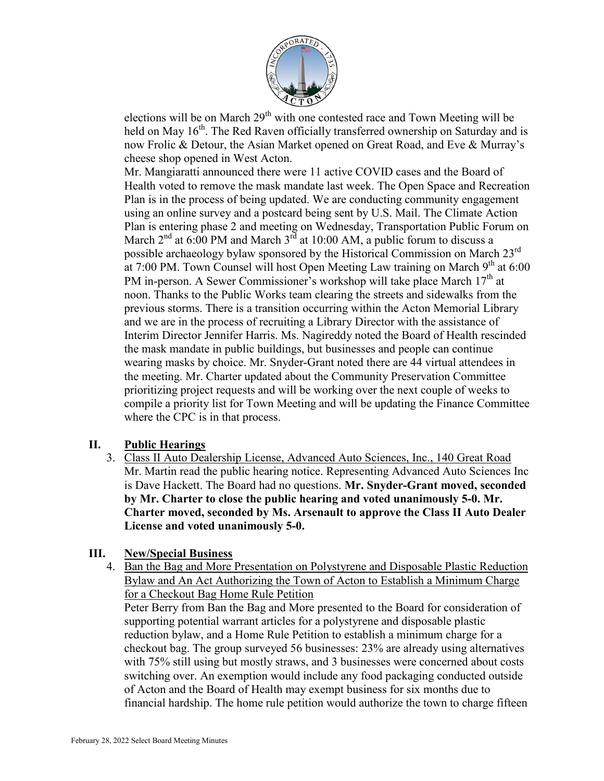

elections will be on March  $29<sup>th</sup>$  with one contested race and Town Meeting will be held on May 16<sup>th</sup>. The Red Raven officially transferred ownership on Saturday and is now Frolic & Detour, the Asian Market opened on Great Road, and Eve & Murray's cheese shop opened in West Acton.

Mr. Mangiaratti announced there were 11 active COVID cases and the Board of Health voted to remove the mask mandate last week. The Open Space and Recreation Plan is in the process of being updated. We are conducting community engagement using an online survey and a postcard being sent by U.S. Mail. The Climate Action Plan is entering phase 2 and meeting on Wednesday, Transportation Public Forum on March  $2<sup>nd</sup>$  at 6:00 PM and March  $3<sup>rd</sup>$  at 10:00 AM, a public forum to discuss a possible archaeology bylaw sponsored by the Historical Commission on March  $23^{\text{rd}}$ at 7:00 PM. Town Counsel will host Open Meeting Law training on March  $9<sup>th</sup>$  at 6:00 PM in-person. A Sewer Commissioner's workshop will take place March 17<sup>th</sup> at noon. Thanks to the Public Works team clearing the streets and sidewalks from the previous storms. There is a transition occurring within the Acton Memorial Library and we are in the process of recruiting a Library Director with the assistance of Interim Director Jennifer Harris. Ms. Nagireddy noted the Board of Health rescinded the mask mandate in public buildings, but businesses and people can continue wearing masks by choice. Mr. Snyder-Grant noted there are 44 virtual attendees in the meeting. Mr. Charter updated about the Community Preservation Committee prioritizing project requests and will be working over the next couple of weeks to compile a priority list for Town Meeting and will be updating the Finance Committee where the CPC is in that process.

# **II. Public Hearings**

3. Class II Auto Dealership License, Advanced Auto Sciences, Inc., 140 Great Road Mr. Martin read the public hearing notice. Representing Advanced Auto Sciences Inc is Dave Hackett. The Board had no questions. **Mr. Snyder-Grant moved, seconded by Mr. Charter to close the public hearing and voted unanimously 5-0. Mr. Charter moved, seconded by Ms. Arsenault to approve the Class II Auto Dealer License and voted unanimously 5-0.**

# **III. New/Special Business**

4. Ban the Bag and More Presentation on Polystyrene and Disposable Plastic Reduction Bylaw and An Act Authorizing the Town of Acton to Establish a Minimum Charge for a Checkout Bag Home Rule Petition

Peter Berry from Ban the Bag and More presented to the Board for consideration of supporting potential warrant articles for a polystyrene and disposable plastic reduction bylaw, and a Home Rule Petition to establish a minimum charge for a checkout bag. The group surveyed 56 businesses: 23% are already using alternatives with 75% still using but mostly straws, and 3 businesses were concerned about costs switching over. An exemption would include any food packaging conducted outside of Acton and the Board of Health may exempt business for six months due to financial hardship. The home rule petition would authorize the town to charge fifteen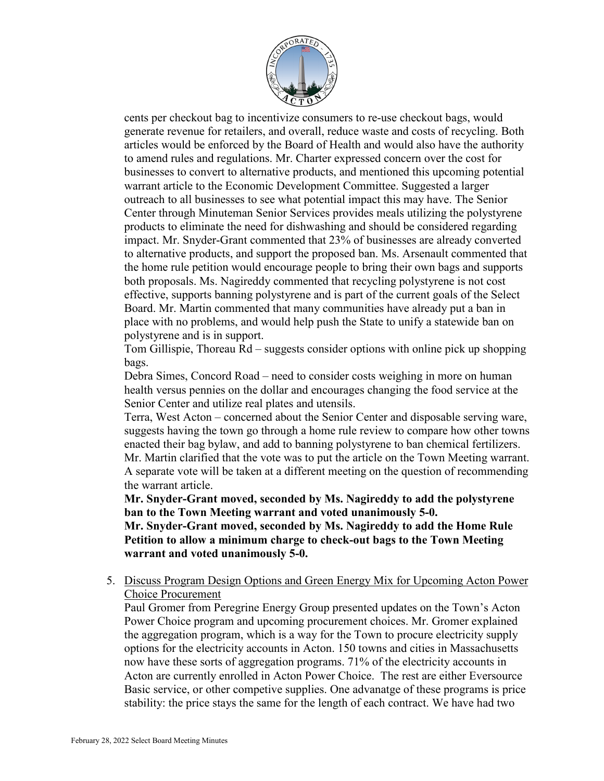

cents per checkout bag to incentivize consumers to re-use checkout bags, would generate revenue for retailers, and overall, reduce waste and costs of recycling. Both articles would be enforced by the Board of Health and would also have the authority to amend rules and regulations. Mr. Charter expressed concern over the cost for businesses to convert to alternative products, and mentioned this upcoming potential warrant article to the Economic Development Committee. Suggested a larger outreach to all businesses to see what potential impact this may have. The Senior Center through Minuteman Senior Services provides meals utilizing the polystyrene products to eliminate the need for dishwashing and should be considered regarding impact. Mr. Snyder-Grant commented that 23% of businesses are already converted to alternative products, and support the proposed ban. Ms. Arsenault commented that the home rule petition would encourage people to bring their own bags and supports both proposals. Ms. Nagireddy commented that recycling polystyrene is not cost effective, supports banning polystyrene and is part of the current goals of the Select Board. Mr. Martin commented that many communities have already put a ban in place with no problems, and would help push the State to unify a statewide ban on polystyrene and is in support.

Tom Gillispie, Thoreau Rd – suggests consider options with online pick up shopping bags.

Debra Simes, Concord Road – need to consider costs weighing in more on human health versus pennies on the dollar and encourages changing the food service at the Senior Center and utilize real plates and utensils.

Terra, West Acton – concerned about the Senior Center and disposable serving ware, suggests having the town go through a home rule review to compare how other towns enacted their bag bylaw, and add to banning polystyrene to ban chemical fertilizers. Mr. Martin clarified that the vote was to put the article on the Town Meeting warrant. A separate vote will be taken at a different meeting on the question of recommending the warrant article.

**Mr. Snyder-Grant moved, seconded by Ms. Nagireddy to add the polystyrene ban to the Town Meeting warrant and voted unanimously 5-0.**

**Mr. Snyder-Grant moved, seconded by Ms. Nagireddy to add the Home Rule Petition to allow a minimum charge to check-out bags to the Town Meeting warrant and voted unanimously 5-0.**

5. Discuss Program Design Options and Green Energy Mix for Upcoming Acton Power Choice Procurement

Paul Gromer from Peregrine Energy Group presented updates on the Town's Acton Power Choice program and upcoming procurement choices. Mr. Gromer explained the aggregation program, which is a way for the Town to procure electricity supply options for the electricity accounts in Acton. 150 towns and cities in Massachusetts now have these sorts of aggregation programs. 71% of the electricity accounts in Acton are currently enrolled in Acton Power Choice. The rest are either Eversource Basic service, or other competive supplies. One advanatge of these programs is price stability: the price stays the same for the length of each contract. We have had two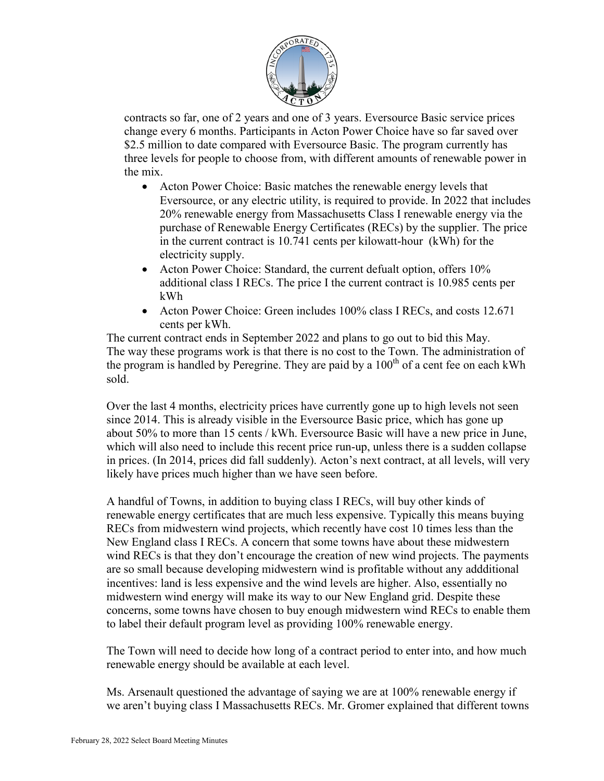

contracts so far, one of 2 years and one of 3 years. Eversource Basic service prices change every 6 months. Participants in Acton Power Choice have so far saved over \$2.5 million to date compared with Eversource Basic. The program currently has three levels for people to choose from, with different amounts of renewable power in the mix.

- Acton Power Choice: Basic matches the renewable energy levels that Eversource, or any electric utility, is required to provide. In 2022 that includes 20% renewable energy from Massachusetts Class I renewable energy via the purchase of Renewable Energy Certificates (RECs) by the supplier. The price in the current contract is 10.741 cents per kilowatt-hour (kWh) for the electricity supply.
- Acton Power Choice: Standard, the current defualt option, offers 10% additional class I RECs. The price I the current contract is 10.985 cents per kWh
- Acton Power Choice: Green includes 100% class I RECs, and costs 12.671 cents per kWh.

The current contract ends in September 2022 and plans to go out to bid this May. The way these programs work is that there is no cost to the Town. The administration of the program is handled by Peregrine. They are paid by a  $100^{th}$  of a cent fee on each kWh sold.

Over the last 4 months, electricity prices have currently gone up to high levels not seen since 2014. This is already visible in the Eversource Basic price, which has gone up about 50% to more than 15 cents / kWh. Eversource Basic will have a new price in June, which will also need to include this recent price run-up, unless there is a sudden collapse in prices. (In 2014, prices did fall suddenly). Acton's next contract, at all levels, will very likely have prices much higher than we have seen before.

A handful of Towns, in addition to buying class I RECs, will buy other kinds of renewable energy certificates that are much less expensive. Typically this means buying RECs from midwestern wind projects, which recently have cost 10 times less than the New England class I RECs. A concern that some towns have about these midwestern wind RECs is that they don't encourage the creation of new wind projects. The payments are so small because developing midwestern wind is profitable without any addditional incentives: land is less expensive and the wind levels are higher. Also, essentially no midwestern wind energy will make its way to our New England grid. Despite these concerns, some towns have chosen to buy enough midwestern wind RECs to enable them to label their default program level as providing 100% renewable energy.

The Town will need to decide how long of a contract period to enter into, and how much renewable energy should be available at each level.

Ms. Arsenault questioned the advantage of saying we are at 100% renewable energy if we aren't buying class I Massachusetts RECs. Mr. Gromer explained that different towns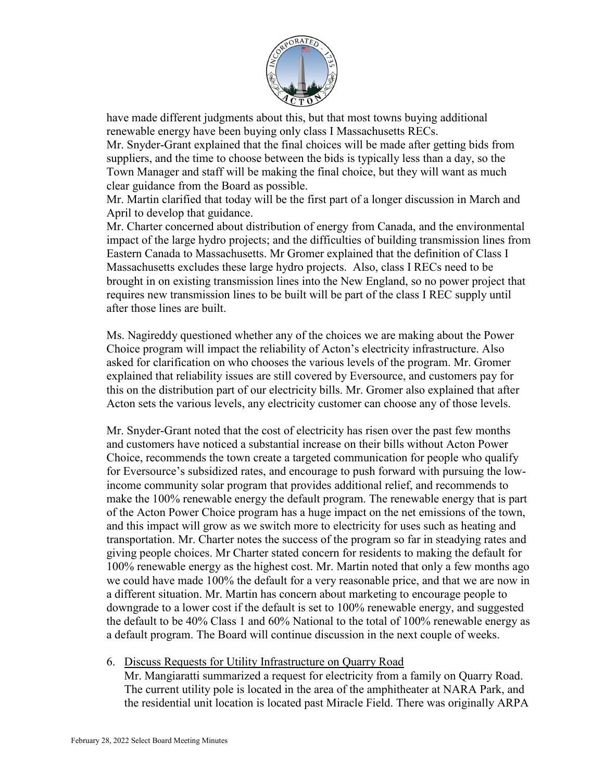

have made different judgments about this, but that most towns buying additional renewable energy have been buying only class I Massachusetts RECs.

Mr. Snyder-Grant explained that the final choices will be made after getting bids from suppliers, and the time to choose between the bids is typically less than a day, so the Town Manager and staff will be making the final choice, but they will want as much clear guidance from the Board as possible.

Mr. Martin clarified that today will be the first part of a longer discussion in March and April to develop that guidance.

Mr. Charter concerned about distribution of energy from Canada, and the environmental impact of the large hydro projects; and the difficulties of building transmission lines from Eastern Canada to Massachusetts. Mr Gromer explained that the definition of Class I Massachusetts excludes these large hydro projects. Also, class I RECs need to be brought in on existing transmission lines into the New England, so no power project that requires new transmission lines to be built will be part of the class I REC supply until after those lines are built.

Ms. Nagireddy questioned whether any of the choices we are making about the Power Choice program will impact the reliability of Acton's electricity infrastructure. Also asked for clarification on who chooses the various levels of the program. Mr. Gromer explained that reliability issues are still covered by Eversource, and customers pay for this on the distribution part of our electricity bills. Mr. Gromer also explained that after Acton sets the various levels, any electricity customer can choose any of those levels.

Mr. Snyder-Grant noted that the cost of electricity has risen over the past few months and customers have noticed a substantial increase on their bills without Acton Power Choice, recommends the town create a targeted communication for people who qualify for Eversource's subsidized rates, and encourage to push forward with pursuing the lowincome community solar program that provides additional relief, and recommends to make the 100% renewable energy the default program. The renewable energy that is part of the Acton Power Choice program has a huge impact on the net emissions of the town, and this impact will grow as we switch more to electricity for uses such as heating and transportation. Mr. Charter notes the success of the program so far in steadying rates and giving people choices. Mr Charter stated concern for residents to making the default for 100% renewable energy as the highest cost. Mr. Martin noted that only a few months ago we could have made 100% the default for a very reasonable price, and that we are now in a different situation. Mr. Martin has concern about marketing to encourage people to downgrade to a lower cost if the default is set to 100% renewable energy, and suggested the default to be 40% Class 1 and 60% National to the total of 100% renewable energy as a default program. The Board will continue discussion in the next couple of weeks.

### 6. Discuss Requests for Utility Infrastructure on Quarry Road

Mr. Mangiaratti summarized a request for electricity from a family on Quarry Road. The current utility pole is located in the area of the amphitheater at NARA Park, and the residential unit location is located past Miracle Field. There was originally ARPA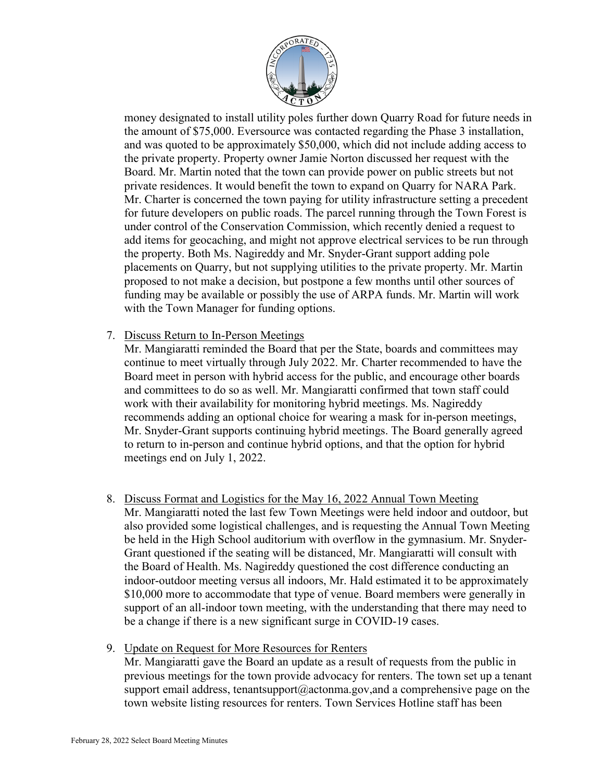

money designated to install utility poles further down Quarry Road for future needs in the amount of \$75,000. Eversource was contacted regarding the Phase 3 installation, and was quoted to be approximately \$50,000, which did not include adding access to the private property. Property owner Jamie Norton discussed her request with the Board. Mr. Martin noted that the town can provide power on public streets but not private residences. It would benefit the town to expand on Quarry for NARA Park. Mr. Charter is concerned the town paying for utility infrastructure setting a precedent for future developers on public roads. The parcel running through the Town Forest is under control of the Conservation Commission, which recently denied a request to add items for geocaching, and might not approve electrical services to be run through the property. Both Ms. Nagireddy and Mr. Snyder-Grant support adding pole placements on Quarry, but not supplying utilities to the private property. Mr. Martin proposed to not make a decision, but postpone a few months until other sources of funding may be available or possibly the use of ARPA funds. Mr. Martin will work with the Town Manager for funding options.

7. Discuss Return to In-Person Meetings

Mr. Mangiaratti reminded the Board that per the State, boards and committees may continue to meet virtually through July 2022. Mr. Charter recommended to have the Board meet in person with hybrid access for the public, and encourage other boards and committees to do so as well. Mr. Mangiaratti confirmed that town staff could work with their availability for monitoring hybrid meetings. Ms. Nagireddy recommends adding an optional choice for wearing a mask for in-person meetings, Mr. Snyder-Grant supports continuing hybrid meetings. The Board generally agreed to return to in-person and continue hybrid options, and that the option for hybrid meetings end on July 1, 2022.

- 8. Discuss Format and Logistics for the May 16, 2022 Annual Town Meeting Mr. Mangiaratti noted the last few Town Meetings were held indoor and outdoor, but also provided some logistical challenges, and is requesting the Annual Town Meeting be held in the High School auditorium with overflow in the gymnasium. Mr. Snyder-Grant questioned if the seating will be distanced, Mr. Mangiaratti will consult with the Board of Health. Ms. Nagireddy questioned the cost difference conducting an indoor-outdoor meeting versus all indoors, Mr. Hald estimated it to be approximately \$10,000 more to accommodate that type of venue. Board members were generally in support of an all-indoor town meeting, with the understanding that there may need to be a change if there is a new significant surge in COVID-19 cases.
- 9. Update on Request for More Resources for Renters Mr. Mangiaratti gave the Board an update as a result of requests from the public in previous meetings for the town provide advocacy for renters. The town set up a tenant support email address, [tenantsupport@actonma.gov,](mailto:tenantsupport@actonma.gov) and a comprehensive page on the town website listing resources for renters. Town Services Hotline staff has been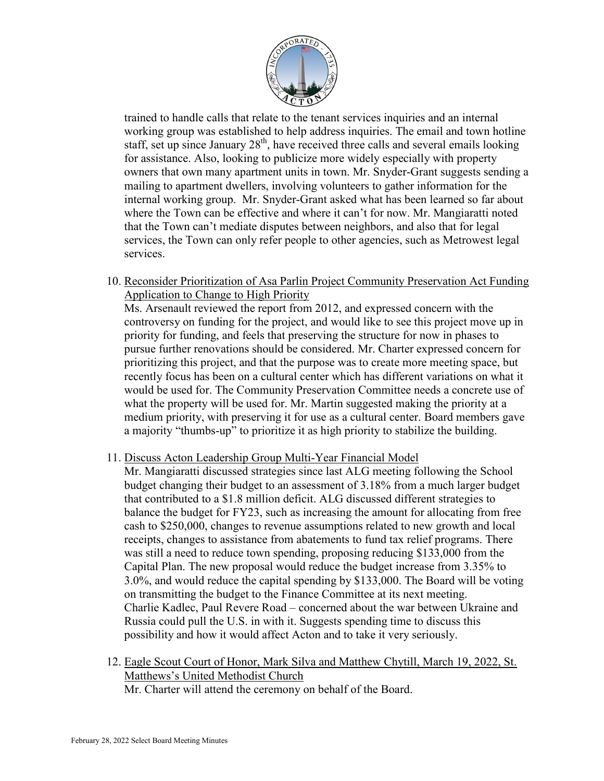

trained to handle calls that relate to the tenant services inquiries and an internal working group was established to help address inquiries. The email and town hotline staff, set up since January  $28<sup>th</sup>$ , have received three calls and several emails looking for assistance. Also, looking to publicize more widely especially with property owners that own many apartment units in town. Mr. Snyder-Grant suggests sending a mailing to apartment dwellers, involving volunteers to gather information for the internal working group. Mr. Snyder-Grant asked what has been learned so far about where the Town can be effective and where it can't for now. Mr. Mangiaratti noted that the Town can't mediate disputes between neighbors, and also that for legal services, the Town can only refer people to other agencies, such as Metrowest legal services.

10. Reconsider Prioritization of Asa Parlin Project Community Preservation Act Funding Application to Change to High Priority

Ms. Arsenault reviewed the report from 2012, and expressed concern with the controversy on funding for the project, and would like to see this project move up in priority for funding, and feels that preserving the structure for now in phases to pursue further renovations should be considered. Mr. Charter expressed concern for prioritizing this project, and that the purpose was to create more meeting space, but recently focus has been on a cultural center which has different variations on what it would be used for. The Community Preservation Committee needs a concrete use of what the property will be used for. Mr. Martin suggested making the priority at a medium priority, with preserving it for use as a cultural center. Board members gave a majority "thumbs-up" to prioritize it as high priority to stabilize the building.

#### 11. Discuss Acton Leadership Group Multi-Year Financial Model

Mr. Mangiaratti discussed strategies since last ALG meeting following the School budget changing their budget to an assessment of 3.18% from a much larger budget that contributed to a \$1.8 million deficit. ALG discussed different strategies to balance the budget for FY23, such as increasing the amount for allocating from free cash to \$250,000, changes to revenue assumptions related to new growth and local receipts, changes to assistance from abatements to fund tax relief programs. There was still a need to reduce town spending, proposing reducing \$133,000 from the Capital Plan. The new proposal would reduce the budget increase from 3.35% to 3.0%, and would reduce the capital spending by \$133,000. The Board will be voting on transmitting the budget to the Finance Committee at its next meeting. Charlie Kadlec, Paul Revere Road – concerned about the war between Ukraine and Russia could pull the U.S. in with it. Suggests spending time to discuss this possibility and how it would affect Acton and to take it very seriously.

12. Eagle Scout Court of Honor, Mark Silva and Matthew Chytill, March 19, 2022, St. Matthews's United Methodist Church Mr. Charter will attend the ceremony on behalf of the Board.